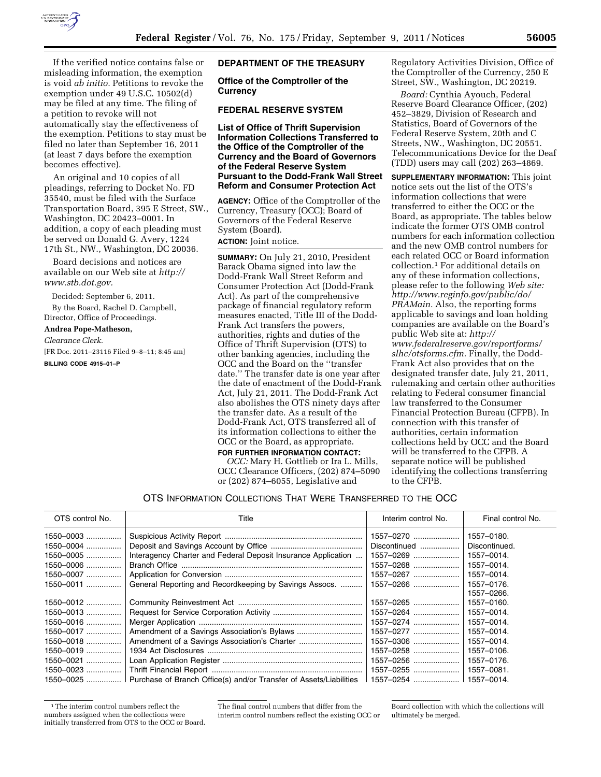

If the verified notice contains false or misleading information, the exemption is void *ab initio.* Petitions to revoke the exemption under 49 U.S.C. 10502(d) may be filed at any time. The filing of a petition to revoke will not automatically stay the effectiveness of the exemption. Petitions to stay must be filed no later than September 16, 2011 (at least 7 days before the exemption becomes effective).

An original and 10 copies of all pleadings, referring to Docket No. FD 35540, must be filed with the Surface Transportation Board, 395 E Street, SW., Washington, DC 20423–0001. In addition, a copy of each pleading must be served on Donald G. Avery, 1224 17th St., NW., Washington, DC 20036.

Board decisions and notices are available on our Web site at *[http://](http://www.stb.dot.gov) [www.stb.dot.gov.](http://www.stb.dot.gov)* 

Decided: September 6, 2011.

By the Board, Rachel D. Campbell, Director, Office of Proceedings.

## **Andrea Pope-Matheson,**

*Clearance Clerk.* 

[FR Doc. 2011–23116 Filed 9–8–11; 8:45 am] **BILLING CODE 4915–01–P** 

## **DEPARTMENT OF THE TREASURY**

**Office of the Comptroller of the Currency** 

## **FEDERAL RESERVE SYSTEM**

**List of Office of Thrift Supervision Information Collections Transferred to the Office of the Comptroller of the Currency and the Board of Governors of the Federal Reserve System Pursuant to the Dodd-Frank Wall Street Reform and Consumer Protection Act** 

**AGENCY:** Office of the Comptroller of the Currency, Treasury (OCC); Board of Governors of the Federal Reserve System (Board). **ACTION:** Joint notice.

**SUMMARY:** On July 21, 2010, President Barack Obama signed into law the Dodd-Frank Wall Street Reform and Consumer Protection Act (Dodd-Frank Act). As part of the comprehensive package of financial regulatory reform measures enacted, Title III of the Dodd-Frank Act transfers the powers, authorities, rights and duties of the Office of Thrift Supervision (OTS) to other banking agencies, including the OCC and the Board on the ''transfer date.'' The transfer date is one year after the date of enactment of the Dodd-Frank Act, July 21, 2011. The Dodd-Frank Act also abolishes the OTS ninety days after the transfer date. As a result of the Dodd-Frank Act, OTS transferred all of its information collections to either the OCC or the Board, as appropriate.

## **FOR FURTHER INFORMATION CONTACT:**

*OCC:* Mary H. Gottlieb or Ira L. Mills, OCC Clearance Officers, (202) 874–5090 or (202) 874–6055, Legislative and

Regulatory Activities Division, Office of the Comptroller of the Currency, 250 E Street, SW., Washington, DC 20219.

*Board:* Cynthia Ayouch, Federal Reserve Board Clearance Officer, (202) 452–3829, Division of Research and Statistics, Board of Governors of the Federal Reserve System, 20th and C Streets, NW., Washington, DC 20551. Telecommunications Device for the Deaf (TDD) users may call (202) 263–4869.

**SUPPLEMENTARY INFORMATION:** This joint notice sets out the list of the OTS's information collections that were transferred to either the OCC or the Board, as appropriate. The tables below indicate the former OTS OMB control numbers for each information collection and the new OMB control numbers for each related OCC or Board information collection.1 For additional details on any of these information collections, please refer to the following *Web site: [http://www.reginfo.gov/public/do/](http://www.reginfo.gov/public/do/PRAMain) [PRAMain.](http://www.reginfo.gov/public/do/PRAMain)* Also, the reporting forms applicable to savings and loan holding companies are available on the Board's public Web site at: *[http://](http://www.federalreserve.gov/reportforms/slhc/otsforms.cfm)  [www.federalreserve.gov/reportforms/](http://www.federalreserve.gov/reportforms/slhc/otsforms.cfm) [slhc/otsforms.cfm.](http://www.federalreserve.gov/reportforms/slhc/otsforms.cfm)* Finally, the Dodd-Frank Act also provides that on the designated transfer date, July 21, 2011, rulemaking and certain other authorities relating to Federal consumer financial law transferred to the Consumer Financial Protection Bureau (CFPB). In connection with this transfer of authorities, certain information collections held by OCC and the Board will be transferred to the CFPB. A separate notice will be published identifying the collections transferring to the CFPB.

## OTS INFORMATION COLLECTIONS THAT WERE TRANSFERRED TO THE OCC

| OTS control No. | Title                                                                         | Interim control No. | Final control No. |
|-----------------|-------------------------------------------------------------------------------|---------------------|-------------------|
| $1550 - 0003$   |                                                                               | 1557-0270           | 1557-0180.        |
| 1550-0004       |                                                                               | Discontinued        | Discontinued.     |
| $1550 - 0005$   | Interagency Charter and Federal Deposit Insurance Application                 | 1557-0269           | 1557-0014.        |
| 1550-0006       |                                                                               | 1557-0268           | 1557-0014.        |
| 1550-0007       |                                                                               | 1557-0267           | 1557-0014.        |
| $1550 - 0011$   | General Reporting and Recordkeeping by Savings Assocs.                        | 1557-0266           | 1557-0176.        |
|                 |                                                                               |                     | 1557-0266.        |
| $1550 - 0012$   |                                                                               | 1557-0265           | 1557-0160.        |
| $1550 - 0013$   |                                                                               | 1557-0264           | 1557-0014.        |
| $1550 - 0016$   |                                                                               | 1557-0274           | 1557-0014.        |
| $1550 - 0017$   |                                                                               | 1557-0277           | 1557-0014.        |
| 1550-0018       |                                                                               | 1557-0306           | 1557-0014.        |
| 1550-0019       |                                                                               | $1557 - 0258$       | 1557-0106.        |
| 1550-0021       |                                                                               | 1557-0256           | 1557-0176.        |
| 1550-0023       |                                                                               | 1557-0255           | 1557-0081.        |
|                 | 1550–0025  Purchase of Branch Office(s) and/or Transfer of Assets/Liabilities |                     |                   |

<sup>1</sup>The interim control numbers reflect the numbers assigned when the collections were initially transferred from OTS to the OCC or Board.

The final control numbers that differ from the interim control numbers reflect the existing OCC or

Board collection with which the collections will ultimately be merged.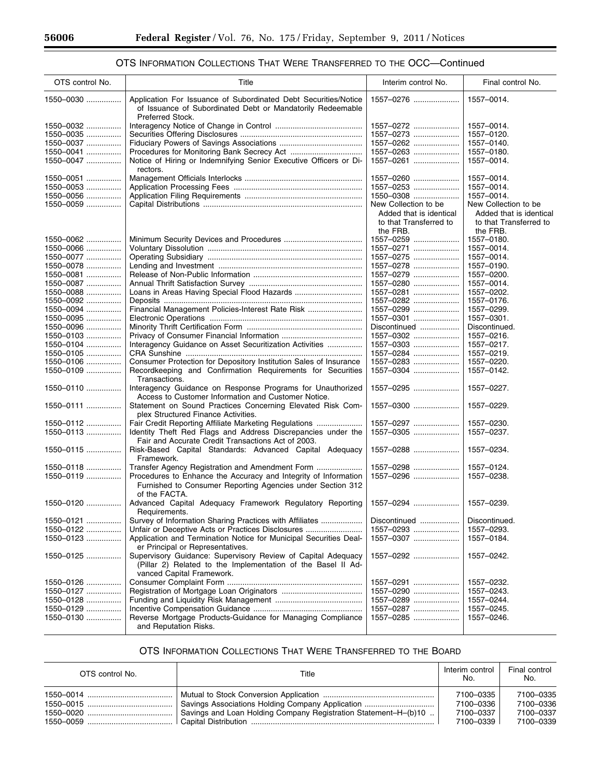۳

# OTS INFORMATION COLLECTIONS THAT WERE TRANSFERRED TO THE OCC—Continued

| OTS control No. | Title                                                                                                                                                     | Interim control No.     | Final control No.       |
|-----------------|-----------------------------------------------------------------------------------------------------------------------------------------------------------|-------------------------|-------------------------|
| 1550-0030       | Application For Issuance of Subordinated Debt Securities/Notice<br>of Issuance of Subordinated Debt or Mandatorily Redeemable<br>Preferred Stock.         | 1557-0276               | 1557-0014.              |
| 1550-0032       |                                                                                                                                                           | 1557-0272               | 1557-0014.              |
| 1550-0035       |                                                                                                                                                           | 1557-0273               | 1557-0120.              |
| 1550-0037       |                                                                                                                                                           | 1557-0262               | 1557-0140.              |
|                 |                                                                                                                                                           |                         |                         |
| 1550-0041       |                                                                                                                                                           | 1557-0263               | 1557-0180.              |
| 1550-0047       | Notice of Hiring or Indemnifying Senior Executive Officers or Di-<br>rectors.                                                                             | 1557-0261               | 1557-0014.              |
| 1550-0051       |                                                                                                                                                           | 1557-0260               | 1557-0014.              |
| 1550-0053       |                                                                                                                                                           | 1557-0253               | 1557-0014.              |
| 1550-0056       |                                                                                                                                                           | 1550-0308               | 1557-0014.              |
| 1550-0059       |                                                                                                                                                           | New Collection to be    | New Collection to be    |
|                 |                                                                                                                                                           |                         |                         |
|                 |                                                                                                                                                           | Added that is identical | Added that is identical |
|                 |                                                                                                                                                           | to that Transferred to  | to that Transferred to  |
|                 |                                                                                                                                                           | the FRB.                | the FRB.                |
| 1550-0062       |                                                                                                                                                           | 1557-0259               | 1557-0180.              |
| $1550 - 0066$   |                                                                                                                                                           | 1557-0271               | 1557-0014.              |
| 1550-0077       |                                                                                                                                                           | 1557-0275               | 1557-0014.              |
| 1550-0078       |                                                                                                                                                           | 1557-0278               | 1557-0190.              |
| 1550-0081       |                                                                                                                                                           | 1557-0279               | 1557-0200.              |
| 1550-0087       |                                                                                                                                                           | 1557-0280               | 1557-0014.              |
| 1550-0088       |                                                                                                                                                           | 1557-0281               | 1557-0202.              |
|                 |                                                                                                                                                           |                         |                         |
| 1550-0092       |                                                                                                                                                           | 1557-0282               | 1557-0176.              |
| 1550-0094       | Financial Management Policies-Interest Rate Risk                                                                                                          | 1557-0299               | 1557-0299.              |
| 1550-0095       |                                                                                                                                                           | 1557-0301               | 1557-0301.              |
| 1550-0096       |                                                                                                                                                           | Discontinued            | Discontinued.           |
| 1550-0103       |                                                                                                                                                           | 1557-0302               | 1557-0216.              |
| 1550-0104       | Interagency Guidance on Asset Securitization Activities                                                                                                   | 1557-0303               | 1557-0217.              |
| 1550-0105       |                                                                                                                                                           | 1557-0284               | 1557-0219.              |
| 1550-0106       | Consumer Protection for Depository Institution Sales of Insurance                                                                                         | 1557-0283               | 1557-0220.              |
| 1550-0109       | Recordkeeping and Confirmation Requirements for Securities<br>Transactions.                                                                               | 1557-0304               | 1557-0142.              |
| 1550-0110       | Interagency Guidance on Response Programs for Unauthorized<br>Access to Customer Information and Customer Notice.                                         | 1557-0295               | 1557-0227.              |
| 1550-0111       | Statement on Sound Practices Concerning Elevated Risk Com-<br>plex Structured Finance Activities.                                                         | 1557-0300               | 1557-0229.              |
| 1550-0112       | Fair Credit Reporting Affiliate Marketing Regulations                                                                                                     | 1557-0297               | 1557-0230.              |
| 1550-0113       | Identity Theft Red Flags and Address Discrepancies under the<br>Fair and Accurate Credit Transactions Act of 2003.                                        | 1557-0305               | 1557-0237.              |
| 1550-0115       | Risk-Based Capital Standards: Advanced Capital Adequacy<br>Framework.                                                                                     | 1557-0288               | 1557-0234.              |
| 1550-0118       | Transfer Agency Registration and Amendment Form                                                                                                           | 1557-0298               | 1557-0124.              |
| 1550-0119       | Procedures to Enhance the Accuracy and Integrity of Information<br>Furnished to Consumer Reporting Agencies under Section 312<br>of the FACTA.            | 1557-0296               | 1557-0238.              |
| 1550-0120       | Advanced Capital Adequacy Framework Regulatory Reporting<br>Requirements.                                                                                 | 1557-0294               | 1557-0239.              |
| 1550-0121       | Survey of Information Sharing Practices with Affiliates                                                                                                   | Discontinued            | Discontinued.           |
| 1550-0122       | Unfair or Deceptive Acts or Practices Disclosures                                                                                                         | 1557-0293               | 1557-0293.              |
| 1550-0123       | Application and Termination Notice for Municipal Securities Deal-                                                                                         | 1557-0307               | 1557-0184.              |
|                 | er Principal or Representatives.                                                                                                                          |                         |                         |
| 1550-0125       | Supervisory Guidance: Supervisory Review of Capital Adequacy<br>(Pillar 2) Related to the Implementation of the Basel II Ad-<br>vanced Capital Framework. | 1557-0292               | 1557-0242.              |
| 1550-0126       |                                                                                                                                                           | 1557-0291               | 1557-0232.              |
|                 |                                                                                                                                                           |                         |                         |
| 1550-0127       |                                                                                                                                                           | 1557-0290               | 1557-0243.              |
| 1550-0128       |                                                                                                                                                           | 1557-0289               | 1557–0244.              |
| 1550-0129       |                                                                                                                                                           | 1557-0287               | 1557-0245.              |
| 1550-0130       | Reverse Mortgage Products-Guidance for Managing Compliance<br>and Reputation Risks.                                                                       | 1557-0285               | 1557-0246.              |

# OTS INFORMATION COLLECTIONS THAT WERE TRANSFERRED TO THE BOARD

| OTS control No. | Title                                                           | Interim control<br>No. | Final control<br>No. |
|-----------------|-----------------------------------------------------------------|------------------------|----------------------|
|                 |                                                                 | 7100-0335              | 7100-0335            |
|                 | Savings Associations Holding Company Application                | 7100-0336              | 7100-0336            |
|                 | Savings and Loan Holding Company Registration Statement-H-(b)10 | 7100-0337              | 7100-0337            |
|                 |                                                                 | 7100-0339              | 7100-0339            |